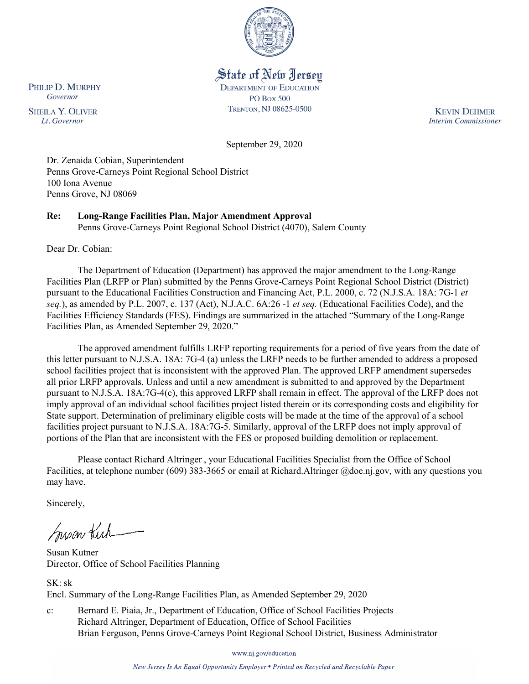

# State of New Jersey

**DEPARTMENT OF EDUCATION PO Box 500** TRENTON, NJ 08625-0500

**KEVIN DEHMER Interim Commissioner** 

September 29, 2020

Dr. Zenaida Cobian, Superintendent Penns Grove-Carneys Point Regional School District 100 Iona Avenue Penns Grove, NJ 08069

### **Re: Long-Range Facilities Plan, Major Amendment Approval**

Penns Grove-Carneys Point Regional School District (4070), Salem County

Dear Dr. Cobian:

The Department of Education (Department) has approved the major amendment to the Long-Range Facilities Plan (LRFP or Plan) submitted by the Penns Grove-Carneys Point Regional School District (District) pursuant to the Educational Facilities Construction and Financing Act, P.L. 2000, c. 72 (N.J.S.A. 18A: 7G-1 *et seq.*), as amended by P.L. 2007, c. 137 (Act), N.J.A.C. 6A:26 -1 *et seq.* (Educational Facilities Code), and the Facilities Efficiency Standards (FES). Findings are summarized in the attached "Summary of the Long-Range Facilities Plan, as Amended September 29, 2020."

The approved amendment fulfills LRFP reporting requirements for a period of five years from the date of this letter pursuant to N.J.S.A. 18A: 7G-4 (a) unless the LRFP needs to be further amended to address a proposed school facilities project that is inconsistent with the approved Plan. The approved LRFP amendment supersedes all prior LRFP approvals. Unless and until a new amendment is submitted to and approved by the Department pursuant to N.J.S.A. 18A:7G-4(c), this approved LRFP shall remain in effect. The approval of the LRFP does not imply approval of an individual school facilities project listed therein or its corresponding costs and eligibility for State support. Determination of preliminary eligible costs will be made at the time of the approval of a school facilities project pursuant to N.J.S.A. 18A:7G-5. Similarly, approval of the LRFP does not imply approval of portions of the Plan that are inconsistent with the FES or proposed building demolition or replacement.

Please contact Richard Altringer , your Educational Facilities Specialist from the Office of School Facilities, at telephone number (609) 383-3665 or email at Richard.Altringer @doe.nj.gov, with any questions you may have.

Sincerely,

Susan Kich

Susan Kutner Director, Office of School Facilities Planning

SK: sk Encl. Summary of the Long-Range Facilities Plan, as Amended September 29, 2020

c: Bernard E. Piaia, Jr., Department of Education, Office of School Facilities Projects Richard Altringer, Department of Education, Office of School Facilities Brian Ferguson, Penns Grove-Carneys Point Regional School District, Business Administrator

www.nj.gov/education

New Jersey Is An Equal Opportunity Employer . Printed on Recycled and Recyclable Paper

PHILIP D. MURPHY Governor

**SHEILA Y. OLIVER** Lt. Governor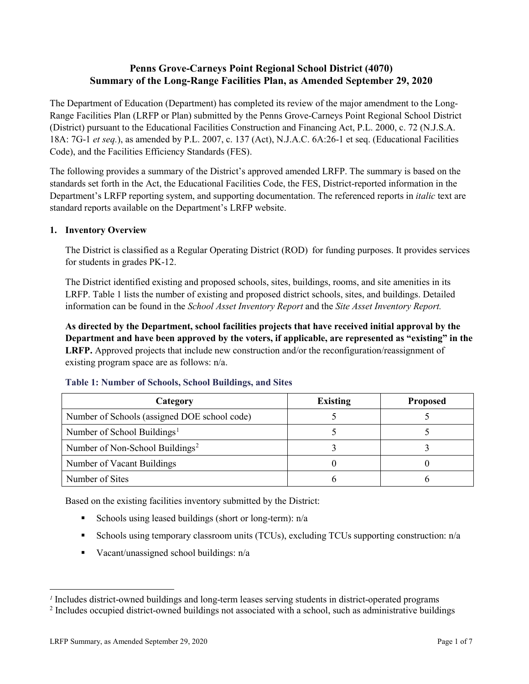## **Penns Grove-Carneys Point Regional School District (4070) Summary of the Long-Range Facilities Plan, as Amended September 29, 2020**

The Department of Education (Department) has completed its review of the major amendment to the Long-Range Facilities Plan (LRFP or Plan) submitted by the Penns Grove-Carneys Point Regional School District (District) pursuant to the Educational Facilities Construction and Financing Act, P.L. 2000, c. 72 (N.J.S.A. 18A: 7G-1 *et seq.*), as amended by P.L. 2007, c. 137 (Act), N.J.A.C. 6A:26-1 et seq. (Educational Facilities Code), and the Facilities Efficiency Standards (FES).

The following provides a summary of the District's approved amended LRFP. The summary is based on the standards set forth in the Act, the Educational Facilities Code, the FES, District-reported information in the Department's LRFP reporting system, and supporting documentation. The referenced reports in *italic* text are standard reports available on the Department's LRFP website.

#### **1. Inventory Overview**

The District is classified as a Regular Operating District (ROD) for funding purposes. It provides services for students in grades PK-12.

The District identified existing and proposed schools, sites, buildings, rooms, and site amenities in its LRFP. Table 1 lists the number of existing and proposed district schools, sites, and buildings. Detailed information can be found in the *School Asset Inventory Report* and the *Site Asset Inventory Report.*

**As directed by the Department, school facilities projects that have received initial approval by the Department and have been approved by the voters, if applicable, are represented as "existing" in the LRFP.** Approved projects that include new construction and/or the reconfiguration/reassignment of existing program space are as follows: n/a.

| Category                                     | <b>Existing</b> | <b>Proposed</b> |
|----------------------------------------------|-----------------|-----------------|
| Number of Schools (assigned DOE school code) |                 |                 |
| Number of School Buildings <sup>1</sup>      |                 |                 |
| Number of Non-School Buildings <sup>2</sup>  |                 |                 |
| Number of Vacant Buildings                   |                 |                 |
| Number of Sites                              |                 |                 |

#### **Table 1: Number of Schools, School Buildings, and Sites**

Based on the existing facilities inventory submitted by the District:

- Schools using leased buildings (short or long-term):  $n/a$
- Schools using temporary classroom units (TCUs), excluding TCUs supporting construction: n/a
- Vacant/unassigned school buildings:  $n/a$

 $\overline{a}$ 

<span id="page-1-1"></span><span id="page-1-0"></span>*<sup>1</sup>* Includes district-owned buildings and long-term leases serving students in district-operated programs

<sup>&</sup>lt;sup>2</sup> Includes occupied district-owned buildings not associated with a school, such as administrative buildings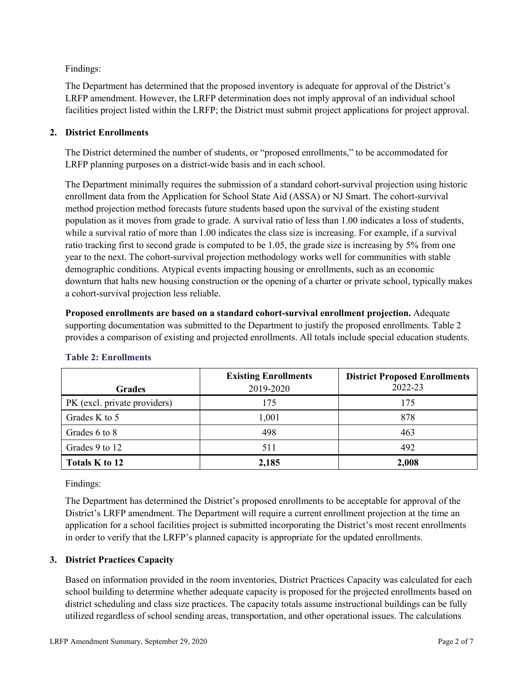Findings:

The Department has determined that the proposed inventory is adequate for approval of the District's LRFP amendment. However, the LRFP determination does not imply approval of an individual school facilities project listed within the LRFP; the District must submit project applications for project approval.

## **2. District Enrollments**

The District determined the number of students, or "proposed enrollments," to be accommodated for LRFP planning purposes on a district-wide basis and in each school.

The Department minimally requires the submission of a standard cohort-survival projection using historic enrollment data from the Application for School State Aid (ASSA) or NJ Smart. The cohort-survival method projection method forecasts future students based upon the survival of the existing student population as it moves from grade to grade. A survival ratio of less than 1.00 indicates a loss of students, while a survival ratio of more than 1.00 indicates the class size is increasing. For example, if a survival ratio tracking first to second grade is computed to be 1.05, the grade size is increasing by 5% from one year to the next. The cohort-survival projection methodology works well for communities with stable demographic conditions. Atypical events impacting housing or enrollments, such as an economic downturn that halts new housing construction or the opening of a charter or private school, typically makes a cohort-survival projection less reliable.

**Proposed enrollments are based on a standard cohort-survival enrollment projection.** Adequate supporting documentation was submitted to the Department to justify the proposed enrollments. Table 2 provides a comparison of existing and projected enrollments. All totals include special education students.

| <b>Grades</b>                | <b>Existing Enrollments</b><br>2019-2020 | <b>District Proposed Enrollments</b><br>2022-23 |
|------------------------------|------------------------------------------|-------------------------------------------------|
| PK (excl. private providers) | 175                                      | 175                                             |
| Grades K to 5                | 1,001                                    | 878                                             |
| Grades 6 to 8                | 498                                      | 463                                             |
| Grades 9 to 12               | 511                                      | 492                                             |
| Totals K to 12               | 2,185                                    | 2,008                                           |

## **Table 2: Enrollments**

Findings:

The Department has determined the District's proposed enrollments to be acceptable for approval of the District's LRFP amendment. The Department will require a current enrollment projection at the time an application for a school facilities project is submitted incorporating the District's most recent enrollments in order to verify that the LRFP's planned capacity is appropriate for the updated enrollments.

### **3. District Practices Capacity**

Based on information provided in the room inventories, District Practices Capacity was calculated for each school building to determine whether adequate capacity is proposed for the projected enrollments based on district scheduling and class size practices. The capacity totals assume instructional buildings can be fully utilized regardless of school sending areas, transportation, and other operational issues. The calculations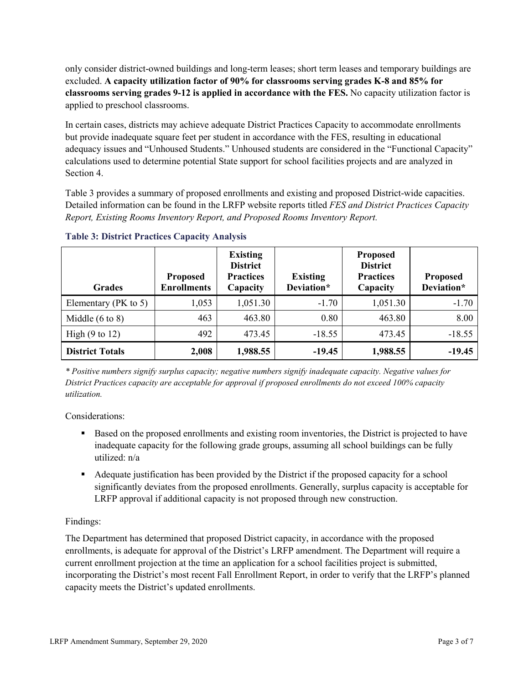only consider district-owned buildings and long-term leases; short term leases and temporary buildings are excluded. **A capacity utilization factor of 90% for classrooms serving grades K-8 and 85% for classrooms serving grades 9-12 is applied in accordance with the FES.** No capacity utilization factor is applied to preschool classrooms.

In certain cases, districts may achieve adequate District Practices Capacity to accommodate enrollments but provide inadequate square feet per student in accordance with the FES, resulting in educational adequacy issues and "Unhoused Students." Unhoused students are considered in the "Functional Capacity" calculations used to determine potential State support for school facilities projects and are analyzed in Section 4.

Table 3 provides a summary of proposed enrollments and existing and proposed District-wide capacities. Detailed information can be found in the LRFP website reports titled *FES and District Practices Capacity Report, Existing Rooms Inventory Report, and Proposed Rooms Inventory Report.*

| <b>Grades</b>              | <b>Proposed</b><br><b>Enrollments</b> | <b>Existing</b><br><b>District</b><br><b>Practices</b><br>Capacity | <b>Existing</b><br>Deviation* | <b>Proposed</b><br><b>District</b><br><b>Practices</b><br>Capacity | <b>Proposed</b><br>Deviation* |
|----------------------------|---------------------------------------|--------------------------------------------------------------------|-------------------------------|--------------------------------------------------------------------|-------------------------------|
| Elementary ( $PK$ to 5)    | 1,053                                 | 1,051.30                                                           | $-1.70$                       | 1,051.30                                                           | $-1.70$                       |
| Middle $(6 \text{ to } 8)$ | 463                                   | 463.80                                                             | 0.80                          | 463.80                                                             | 8.00                          |
| High $(9 \text{ to } 12)$  | 492                                   | 473.45                                                             | $-18.55$                      | 473.45                                                             | $-18.55$                      |
| <b>District Totals</b>     | 2,008                                 | 1,988.55                                                           | $-19.45$                      | 1,988.55                                                           | $-19.45$                      |

**Table 3: District Practices Capacity Analysis**

*\* Positive numbers signify surplus capacity; negative numbers signify inadequate capacity. Negative values for District Practices capacity are acceptable for approval if proposed enrollments do not exceed 100% capacity utilization.*

Considerations:

- Based on the proposed enrollments and existing room inventories, the District is projected to have inadequate capacity for the following grade groups, assuming all school buildings can be fully utilized: n/a
- Adequate justification has been provided by the District if the proposed capacity for a school significantly deviates from the proposed enrollments. Generally, surplus capacity is acceptable for LRFP approval if additional capacity is not proposed through new construction.

### Findings:

The Department has determined that proposed District capacity, in accordance with the proposed enrollments, is adequate for approval of the District's LRFP amendment. The Department will require a current enrollment projection at the time an application for a school facilities project is submitted, incorporating the District's most recent Fall Enrollment Report, in order to verify that the LRFP's planned capacity meets the District's updated enrollments.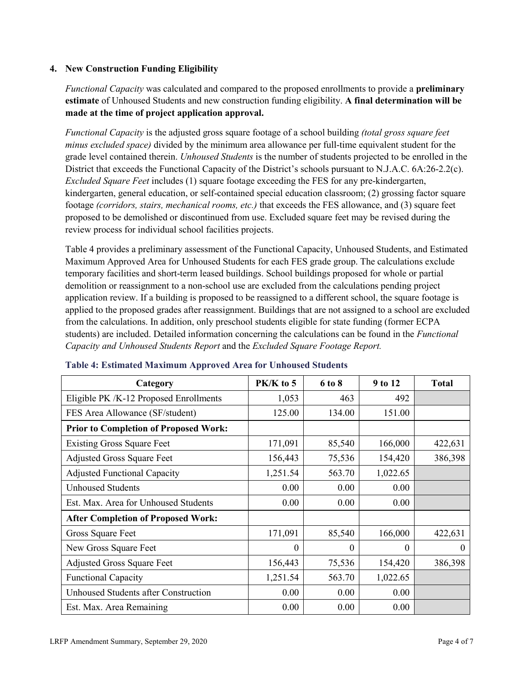#### **4. New Construction Funding Eligibility**

*Functional Capacity* was calculated and compared to the proposed enrollments to provide a **preliminary estimate** of Unhoused Students and new construction funding eligibility. **A final determination will be made at the time of project application approval.**

*Functional Capacity* is the adjusted gross square footage of a school building *(total gross square feet minus excluded space)* divided by the minimum area allowance per full-time equivalent student for the grade level contained therein. *Unhoused Students* is the number of students projected to be enrolled in the District that exceeds the Functional Capacity of the District's schools pursuant to N.J.A.C. 6A:26-2.2(c). *Excluded Square Feet* includes (1) square footage exceeding the FES for any pre-kindergarten, kindergarten, general education, or self-contained special education classroom; (2) grossing factor square footage *(corridors, stairs, mechanical rooms, etc.)* that exceeds the FES allowance, and (3) square feet proposed to be demolished or discontinued from use. Excluded square feet may be revised during the review process for individual school facilities projects.

Table 4 provides a preliminary assessment of the Functional Capacity, Unhoused Students, and Estimated Maximum Approved Area for Unhoused Students for each FES grade group. The calculations exclude temporary facilities and short-term leased buildings. School buildings proposed for whole or partial demolition or reassignment to a non-school use are excluded from the calculations pending project application review. If a building is proposed to be reassigned to a different school, the square footage is applied to the proposed grades after reassignment. Buildings that are not assigned to a school are excluded from the calculations. In addition, only preschool students eligible for state funding (former ECPA students) are included. Detailed information concerning the calculations can be found in the *Functional Capacity and Unhoused Students Report* and the *Excluded Square Footage Report.*

| Category                                     | PK/K to 5 | 6 to 8 | 9 to 12  | <b>Total</b> |
|----------------------------------------------|-----------|--------|----------|--------------|
| Eligible PK /K-12 Proposed Enrollments       | 1,053     | 463    | 492      |              |
| FES Area Allowance (SF/student)              | 125.00    | 134.00 | 151.00   |              |
| <b>Prior to Completion of Proposed Work:</b> |           |        |          |              |
| <b>Existing Gross Square Feet</b>            | 171,091   | 85,540 | 166,000  | 422,631      |
| Adjusted Gross Square Feet                   | 156,443   | 75,536 | 154,420  | 386,398      |
| <b>Adjusted Functional Capacity</b>          | 1,251.54  | 563.70 | 1,022.65 |              |
| Unhoused Students                            | 0.00      | 0.00   | 0.00     |              |
| Est. Max. Area for Unhoused Students         | 0.00      | 0.00   | 0.00     |              |
| <b>After Completion of Proposed Work:</b>    |           |        |          |              |
| Gross Square Feet                            | 171,091   | 85,540 | 166,000  | 422,631      |
| New Gross Square Feet                        | $\theta$  | 0      | $\theta$ | $\theta$     |
| <b>Adjusted Gross Square Feet</b>            | 156,443   | 75,536 | 154,420  | 386,398      |
| <b>Functional Capacity</b>                   | 1,251.54  | 563.70 | 1,022.65 |              |
| <b>Unhoused Students after Construction</b>  | 0.00      | 0.00   | 0.00     |              |
| Est. Max. Area Remaining                     | 0.00      | 0.00   | 0.00     |              |

#### **Table 4: Estimated Maximum Approved Area for Unhoused Students**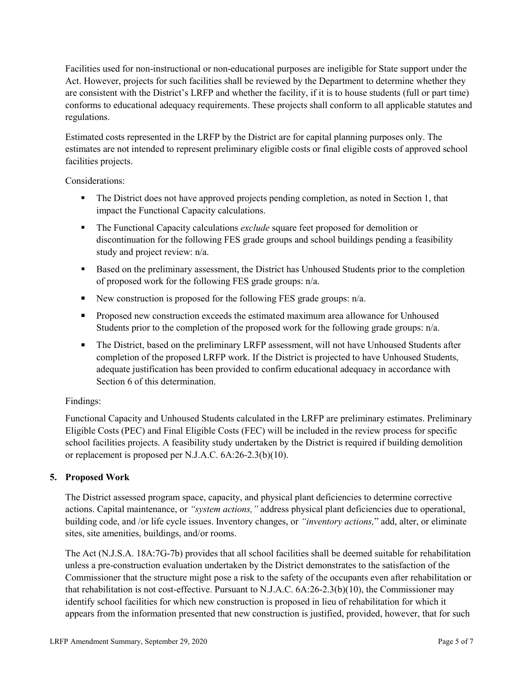Facilities used for non-instructional or non-educational purposes are ineligible for State support under the Act. However, projects for such facilities shall be reviewed by the Department to determine whether they are consistent with the District's LRFP and whether the facility, if it is to house students (full or part time) conforms to educational adequacy requirements. These projects shall conform to all applicable statutes and regulations.

Estimated costs represented in the LRFP by the District are for capital planning purposes only. The estimates are not intended to represent preliminary eligible costs or final eligible costs of approved school facilities projects.

Considerations:

- The District does not have approved projects pending completion, as noted in Section 1, that impact the Functional Capacity calculations.
- **The Functional Capacity calculations** *exclude* square feet proposed for demolition or discontinuation for the following FES grade groups and school buildings pending a feasibility study and project review: n/a.
- Based on the preliminary assessment, the District has Unhoused Students prior to the completion of proposed work for the following FES grade groups: n/a.
- New construction is proposed for the following FES grade groups: n/a.
- Proposed new construction exceeds the estimated maximum area allowance for Unhoused Students prior to the completion of the proposed work for the following grade groups: n/a.
- The District, based on the preliminary LRFP assessment, will not have Unhoused Students after completion of the proposed LRFP work. If the District is projected to have Unhoused Students, adequate justification has been provided to confirm educational adequacy in accordance with Section 6 of this determination.

### Findings:

Functional Capacity and Unhoused Students calculated in the LRFP are preliminary estimates. Preliminary Eligible Costs (PEC) and Final Eligible Costs (FEC) will be included in the review process for specific school facilities projects. A feasibility study undertaken by the District is required if building demolition or replacement is proposed per N.J.A.C. 6A:26-2.3(b)(10).

### **5. Proposed Work**

The District assessed program space, capacity, and physical plant deficiencies to determine corrective actions. Capital maintenance, or *"system actions,"* address physical plant deficiencies due to operational, building code, and /or life cycle issues. Inventory changes, or *"inventory actions,*" add, alter, or eliminate sites, site amenities, buildings, and/or rooms.

The Act (N.J.S.A. 18A:7G-7b) provides that all school facilities shall be deemed suitable for rehabilitation unless a pre-construction evaluation undertaken by the District demonstrates to the satisfaction of the Commissioner that the structure might pose a risk to the safety of the occupants even after rehabilitation or that rehabilitation is not cost-effective. Pursuant to N.J.A.C. 6A:26-2.3(b)(10), the Commissioner may identify school facilities for which new construction is proposed in lieu of rehabilitation for which it appears from the information presented that new construction is justified, provided, however, that for such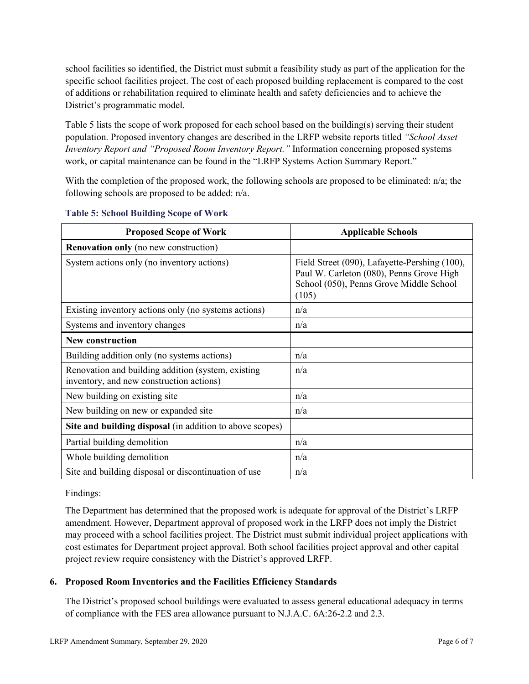school facilities so identified, the District must submit a feasibility study as part of the application for the specific school facilities project. The cost of each proposed building replacement is compared to the cost of additions or rehabilitation required to eliminate health and safety deficiencies and to achieve the District's programmatic model.

Table 5 lists the scope of work proposed for each school based on the building(s) serving their student population. Proposed inventory changes are described in the LRFP website reports titled *"School Asset Inventory Report and "Proposed Room Inventory Report."* Information concerning proposed systems work, or capital maintenance can be found in the "LRFP Systems Action Summary Report."

With the completion of the proposed work, the following schools are proposed to be eliminated: n/a; the following schools are proposed to be added: n/a.

| <b>Proposed Scope of Work</b>                                                                  | <b>Applicable Schools</b>                                                                                                                     |
|------------------------------------------------------------------------------------------------|-----------------------------------------------------------------------------------------------------------------------------------------------|
| <b>Renovation only</b> (no new construction)                                                   |                                                                                                                                               |
| System actions only (no inventory actions)                                                     | Field Street (090), Lafayette-Pershing (100),<br>Paul W. Carleton (080), Penns Grove High<br>School (050), Penns Grove Middle School<br>(105) |
| Existing inventory actions only (no systems actions)                                           | n/a                                                                                                                                           |
| Systems and inventory changes                                                                  | n/a                                                                                                                                           |
| <b>New construction</b>                                                                        |                                                                                                                                               |
| Building addition only (no systems actions)                                                    | n/a                                                                                                                                           |
| Renovation and building addition (system, existing<br>inventory, and new construction actions) | n/a                                                                                                                                           |
| New building on existing site                                                                  | n/a                                                                                                                                           |
| New building on new or expanded site                                                           | n/a                                                                                                                                           |
| Site and building disposal (in addition to above scopes)                                       |                                                                                                                                               |
| Partial building demolition                                                                    | n/a                                                                                                                                           |
| Whole building demolition                                                                      | n/a                                                                                                                                           |
| Site and building disposal or discontinuation of use                                           | n/a                                                                                                                                           |

#### **Table 5: School Building Scope of Work**

#### Findings:

The Department has determined that the proposed work is adequate for approval of the District's LRFP amendment. However, Department approval of proposed work in the LRFP does not imply the District may proceed with a school facilities project. The District must submit individual project applications with cost estimates for Department project approval. Both school facilities project approval and other capital project review require consistency with the District's approved LRFP.

### **6. Proposed Room Inventories and the Facilities Efficiency Standards**

The District's proposed school buildings were evaluated to assess general educational adequacy in terms of compliance with the FES area allowance pursuant to N.J.A.C. 6A:26-2.2 and 2.3.